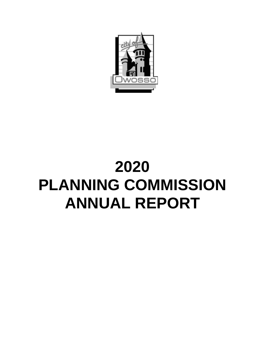

# **2020 PLANNING COMMISSION ANNUAL REPORT**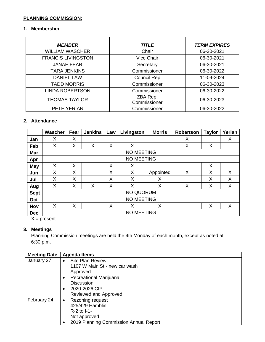# **PLANNING COMMISSION:**

#### **1. Membership**

| <b>MEMBER</b>             | <b>TITLE</b>       | <b>TERM EXPIRES</b> |
|---------------------------|--------------------|---------------------|
| <b>WILLIAM WASCHER</b>    | Chair              | 06-30-2021          |
| <b>FRANCIS LIVINGSTON</b> | <b>Vice Chair</b>  | 06-30-2021          |
| <b>JANAE FEAR</b>         | Secretary          | 06-30-2021          |
| <b>TARA JENKINS</b>       | Commissioner       | 06-30-2022          |
| <b>DANIEL LAW</b>         | <b>Council Rep</b> | 11-09-2024          |
| <b>TADD MORRIS</b>        | Commissioner       | 06-30-2023          |
| <b>LINDA ROBERTSON</b>    | Commissioner       | 06-30-2022          |
| <b>THOMAS TAYLOR</b>      | ZBA Rep.           | 06-30-2023          |
|                           | Commissioner       |                     |
| PETE YERIAN               | Commissioner       | 06-30-2022          |

#### **2. Attendance**

|             | Wascher           | Fear | <b>Jenkins</b> | Law | Livingston        | <b>Morris</b> | <b>Robertson</b> | <b>Taylor</b> | Yerian |
|-------------|-------------------|------|----------------|-----|-------------------|---------------|------------------|---------------|--------|
| Jan         | X                 | X    |                |     |                   |               | X                |               | X      |
| Feb         | X                 | Χ    | X              | X   | X                 |               | X                | X             |        |
| Mar         | <b>NO MEETING</b> |      |                |     |                   |               |                  |               |        |
| Apr         |                   |      |                |     | <b>NO MEETING</b> |               |                  |               |        |
| <b>May</b>  | X                 | X    |                | X   | X                 |               |                  | X             |        |
| Jun         | X                 | X    |                | X   | X                 | Appointed     | X                | X             | X      |
| Jul         | X                 | X    |                | X   | X                 | X             |                  | X             | X      |
| Aug         | X                 | Χ    | X              | X   | X                 | X             | X                | X             | X      |
| <b>Sept</b> | <b>NO QUORUM</b>  |      |                |     |                   |               |                  |               |        |
| Oct         | <b>NO MEETING</b> |      |                |     |                   |               |                  |               |        |
| <b>Nov</b>  | X                 | Χ    |                | Χ   | Χ                 | X             |                  | X             | X      |
| <b>Dec</b>  | <b>NO MEETING</b> |      |                |     |                   |               |                  |               |        |

 $X = present$ 

## **3. Meetings**

Planning Commission meetings are held the 4th Monday of each month, except as noted at 6:30 p.m.

| <b>Meeting Date</b> | <b>Agenda Items</b>                         |
|---------------------|---------------------------------------------|
| January 27          | <b>Site Plan Review</b><br>$\bullet$        |
|                     | 1107 W Main St - new car wash               |
|                     | Approved                                    |
|                     | Recreational Marijuana<br>$\bullet$         |
|                     | <b>Discussion</b>                           |
|                     | 2020-2026 CIP<br>٠                          |
|                     | Reviewed and Approved                       |
| February 24         | Rezoning request<br>$\bullet$               |
|                     | 425/429 Hamblin                             |
|                     | $R-2$ to $I-1$ -                            |
|                     | Not approved                                |
|                     | 2019 Planning Commission Annual Report<br>٠ |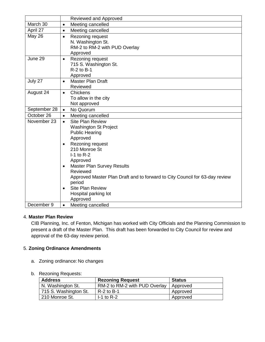|               |                                     | Reviewed and Approved                                                                                                                                                                                                                                                  |
|---------------|-------------------------------------|------------------------------------------------------------------------------------------------------------------------------------------------------------------------------------------------------------------------------------------------------------------------|
| March 30      | $\bullet$                           | Meeting cancelled                                                                                                                                                                                                                                                      |
| April 27      | $\bullet$                           | Meeting cancelled                                                                                                                                                                                                                                                      |
| <b>May 26</b> | $\bullet$                           | Rezoning request<br>N. Washington St.<br>RM-2 to RM-2 with PUD Overlay<br>Approved                                                                                                                                                                                     |
| June 29       | $\bullet$                           | Rezoning request<br>715 S. Washington St.<br>$R-2$ to $B-1$<br>Approved                                                                                                                                                                                                |
| July 27       | $\bullet$                           | <b>Master Plan Draft</b><br>Reviewed                                                                                                                                                                                                                                   |
| August 24     | $\bullet$                           | Chickens<br>To allow in the city<br>Not approved                                                                                                                                                                                                                       |
| September 28  | $\bullet$                           | No Quorum                                                                                                                                                                                                                                                              |
| October 26    | $\bullet$                           | Meeting cancelled                                                                                                                                                                                                                                                      |
| November 23   | $\bullet$                           | <b>Site Plan Review</b><br><b>Washington St Project</b><br><b>Public Hearing</b><br>Approved                                                                                                                                                                           |
|               | $\bullet$<br>$\bullet$<br>$\bullet$ | Rezoning request<br>210 Monroe St<br>$I-1$ to R-2<br>Approved<br><b>Master Plan Survey Results</b><br>Reviewed<br>Approved Master Plan Draft and to forward to City Council for 63-day review<br>period<br><b>Site Plan Review</b><br>Hospital parking lot<br>Approved |
| December 9    | $\bullet$                           | Meeting cancelled                                                                                                                                                                                                                                                      |

### 4. **Master Plan Review**

CIB Planning, Inc. of Fenton, Michigan has worked with City Officials and the Planning Commission to present a draft of the Master Plan. This draft has been forwarded to City Council for review and approval of the 63-day review period.

### 5. **Zoning Ordinance Amendments**

a. Zoning ordinance: No changes

#### b. Rezoning Requests:

| <b>Address</b>        | <b>Rezoning Request</b>       | Status   |
|-----------------------|-------------------------------|----------|
| N. Washington St.     | RM-2 to RM-2 with PUD Overlay | Approved |
| 715 S. Washington St. | $R-2$ to B-1                  | Approved |
| 210 Monroe St.        | $-1$ to R-2                   | Approved |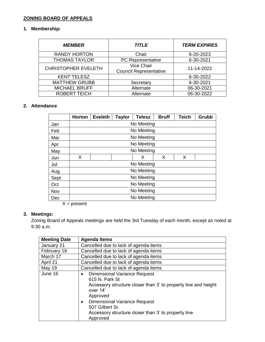# **ZONING BOARD OF APPEALS**

## **1. Membership:**

| <i><b>MEMBER</b></i>       | <b>TITLE</b>                                       | <b>TERM EXPIRES</b> |  |
|----------------------------|----------------------------------------------------|---------------------|--|
| <b>RANDY HORTON</b>        | Chair                                              | 6-20-2023           |  |
| <b>THOMAS TAYLOR</b>       | PC Representative                                  | 6-30-2021           |  |
| <b>CHRISTOPHER EVELETH</b> | <b>Vice Chair</b><br><b>Council Representative</b> | 11-14-2022          |  |
| <b>KENT TELESZ</b>         |                                                    | 6-30-2022           |  |
| <b>MATTHEW GRUBB</b>       | Secretary                                          | 6-30-2021           |  |
| <b>MICHAEL BRUFF</b>       | Alternate                                          | 06-30-2021          |  |
| <b>ROBERT TEICH</b>        | Alternate                                          | 06-30-2022          |  |

#### **2. Attendance**

|      | <b>Horton</b> | <b>Eveleth</b> | <b>Taylor</b> | <b>Telesz</b> | <b>Bruff</b> | <b>Teich</b> | Grubb |
|------|---------------|----------------|---------------|---------------|--------------|--------------|-------|
| Jan  |               | No Meeting     |               |               |              |              |       |
| Feb  |               |                |               | No Meeting    |              |              |       |
| Mar  |               |                |               | No Meeting    |              |              |       |
| Apr  | No Meeting    |                |               |               |              |              |       |
| May  | No Meeting    |                |               |               |              |              |       |
| Jun  | X             |                |               | Х             | X            | X            |       |
| Jul  |               |                |               | No Meeting    |              |              |       |
| Aug  | No Meeting    |                |               |               |              |              |       |
| Sept |               | No Meeting     |               |               |              |              |       |
| Oct  | No Meeting    |                |               |               |              |              |       |
| Nov  |               |                |               | No Meeting    |              |              |       |
| Dec  |               |                |               | No Meeting    |              |              |       |

 $X = present$ 

## **3. Meetings:**

Zoning Board of Appeals meetings are held the 3rd Tuesday of each month, except as noted at 9:30 a.m.

| <b>Meeting Date</b> | <b>Agenda Items</b>                                                                                                                                                                                                                                                                       |
|---------------------|-------------------------------------------------------------------------------------------------------------------------------------------------------------------------------------------------------------------------------------------------------------------------------------------|
| January 21          | Cancelled due to lack of agenda items                                                                                                                                                                                                                                                     |
| February 18         | Cancelled due to lack of agenda items                                                                                                                                                                                                                                                     |
| March 17            | Cancelled due to lack of agenda items                                                                                                                                                                                                                                                     |
| April 21            | Cancelled due to lack of agenda items                                                                                                                                                                                                                                                     |
| <b>May 19</b>       | Cancelled due to lack of agenda items                                                                                                                                                                                                                                                     |
| June 16             | <b>Dimensional Variance Request</b><br>$\bullet$<br>615 N. Park St<br>Accessory structure closer than 3' to property line and height<br>over 14'<br>Approved<br><b>Dimensional Variance Request</b><br>507 Gilbert St.<br>Accessory structure closer than 3' to property line<br>Approved |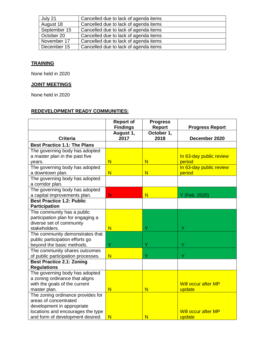| July 21      | Cancelled due to lack of agenda items |
|--------------|---------------------------------------|
| August 18    | Cancelled due to lack of agenda items |
| September 15 | Cancelled due to lack of agenda items |
| October 20   | Cancelled due to lack of agenda items |
| November 17  | Cancelled due to lack of agenda items |
| December 15  | Cancelled due to lack of agenda items |

# **TRAINING**

None held in 2020

# **JOINT MEETINGS**

None held in 2020

## **REDEVELOPMENT READY COMMUNITIES:**

|                                     | <b>Report of</b>        | <b>Progress</b>         |                            |
|-------------------------------------|-------------------------|-------------------------|----------------------------|
|                                     | <b>Findings</b>         | <b>Report</b>           | <b>Progress Report</b>     |
| <b>Criteria</b>                     | August 1,<br>2017       | October 1,<br>2018      | December 2020              |
| <b>Best Practice 1.1: The Plans</b> |                         |                         |                            |
| The governing body has adopted      |                         |                         |                            |
| a master plan in the past five      |                         |                         | In 63-day public review    |
| years.                              | $\overline{\mathsf{N}}$ | $\overline{\mathsf{N}}$ | period                     |
| The governing body has adopted      |                         |                         | In 63-day public review    |
| a downtown plan.                    | N                       | $\overline{\mathsf{N}}$ | period                     |
| The governing body has adopted      |                         |                         |                            |
| a corridor plan.                    |                         |                         |                            |
| The governing body has adopted      |                         |                         |                            |
| a capital improvements plan.        | N                       | N                       | Y (Feb. 2020)              |
| <b>Best Practice 1.2: Public</b>    |                         |                         |                            |
| <b>Participation</b>                |                         |                         |                            |
| The community has a public          |                         |                         |                            |
| participation plan for engaging a   |                         |                         |                            |
| diverse set of community            |                         |                         |                            |
| stakeholders.                       | $\overline{\mathsf{N}}$ | Ý                       | Ÿ                          |
| The community demonstrates that     |                         |                         |                            |
| public participation efforts go     |                         |                         |                            |
| beyond the basic methods.           | Ÿ                       | Ý                       | Ÿ                          |
| The community shares outcomes       |                         |                         |                            |
| of public participation processes.  | $\overline{\mathsf{N}}$ | Ý                       | Ÿ                          |
| <b>Best Practice 2.1: Zoning</b>    |                         |                         |                            |
| <b>Regulations</b>                  |                         |                         |                            |
| The governing body has adopted      |                         |                         |                            |
| a zoning ordinance that aligns      |                         |                         |                            |
| with the goals of the current       |                         |                         | <b>Will occur after MP</b> |
| master plan.                        | N                       | N                       | update                     |
| The zoning ordinance provides for   |                         |                         |                            |
| areas of concentrated               |                         |                         |                            |
| development in appropriate          |                         |                         | Will occur after MP        |
| locations and encourages the type   |                         |                         |                            |
| and form of development desired.    | $\overline{\mathsf{N}}$ | N                       | update                     |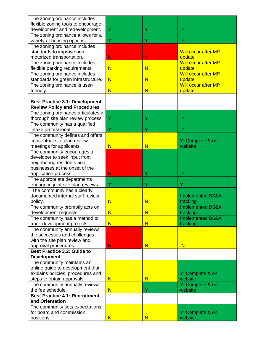| The zoning ordinance includes         |                         |                         |                             |
|---------------------------------------|-------------------------|-------------------------|-----------------------------|
| flexible zoning tools to encourage    |                         |                         |                             |
| development and redevelopment.        | Y                       | Y                       | Y                           |
| The zoning ordinance allows for a     |                         |                         |                             |
| variety of housing options.           | Υ                       | Ÿ                       | Ÿ                           |
| The zoning ordinance includes         |                         |                         |                             |
| standards to improve non-             |                         |                         | <b>Will occur after MP</b>  |
| motorized transportation.             | N                       | N                       | update                      |
| The zoning ordinance includes         |                         |                         | <b>Will occur after MP</b>  |
| flexible parking requirements.        | $\overline{\mathsf{N}}$ | N                       | update                      |
| The zoning ordinance includes         |                         |                         | <b>Will occur after MP</b>  |
| standards for green infrastructure.   | $\overline{\mathsf{N}}$ | $\overline{\mathsf{N}}$ | update                      |
| The zoning ordinance is user-         |                         |                         | <b>Will occur after MP</b>  |
| friendly.                             | $\overline{\mathsf{N}}$ | N                       | update                      |
|                                       |                         |                         |                             |
| <b>Best Practice 3.1: Development</b> |                         |                         |                             |
| <b>Review Policy and Procedures</b>   |                         |                         |                             |
| The zoning ordinance articulates a    |                         |                         |                             |
| thorough site plan review process.    | Y                       | Ÿ                       | Υ                           |
| The community has a qualified         |                         |                         |                             |
| intake professional.                  | Y                       | Ÿ                       | Υ                           |
| The community defines and offers      |                         |                         |                             |
| conceptual site plan review           |                         |                         | Y: Complete & on            |
| meetings for applicants.              | $\overline{\mathsf{N}}$ | N                       | website                     |
| The community encourages a            |                         |                         |                             |
| developer to seek input from          |                         |                         |                             |
| neighboring residents and             |                         |                         |                             |
| businesses at the onset of the        |                         |                         |                             |
| application process.                  | N                       | Ÿ                       | Y                           |
| The appropriate departments           |                         |                         |                             |
| engage in joint site plan reviews.    | Y                       | Ÿ                       |                             |
| The community has a clearly           |                         |                         |                             |
| documented internal staff review      |                         |                         | <b>Implemented BS&amp;A</b> |
| policy.                               | $\overline{\mathsf{N}}$ | N                       | tracking                    |
| The community promptly acts on        |                         |                         | <b>Implemented BS&amp;A</b> |
| development requests.                 | N                       | N                       | tracking                    |
| The community has a method to         |                         |                         | <b>Implemented BS&amp;A</b> |
| track development projects.           | N                       | N                       | tracking                    |
| The community annually reviews        |                         |                         |                             |
| the successes and challenges          |                         |                         |                             |
| with the site plan review and         |                         |                         |                             |
| approval procedures.                  | N                       | N                       | $\overline{\mathsf{N}}$     |
| <b>Best Practice 3.2: Guide to</b>    |                         |                         |                             |
| <b>Development</b>                    |                         |                         |                             |
| The community maintains an            |                         |                         |                             |
| online guide to development that      |                         |                         |                             |
| explains policies, procedures and     |                         |                         | Y: Complete & on            |
| steps to obtain approvals.            | $\overline{\mathsf{N}}$ | N                       | website                     |
| The community annually reviews        |                         |                         | Y: Complete & on            |
| the fee schedule.                     | N                       | Ÿ                       | website                     |
| <b>Best Practice 4.1: Recruitment</b> |                         |                         |                             |
| and Orientation                       |                         |                         |                             |
| The community sets expectations       |                         |                         |                             |
| for board and commission              |                         |                         | Y: Complete & on            |
| positions.                            | N                       | N                       | website                     |
|                                       |                         |                         |                             |